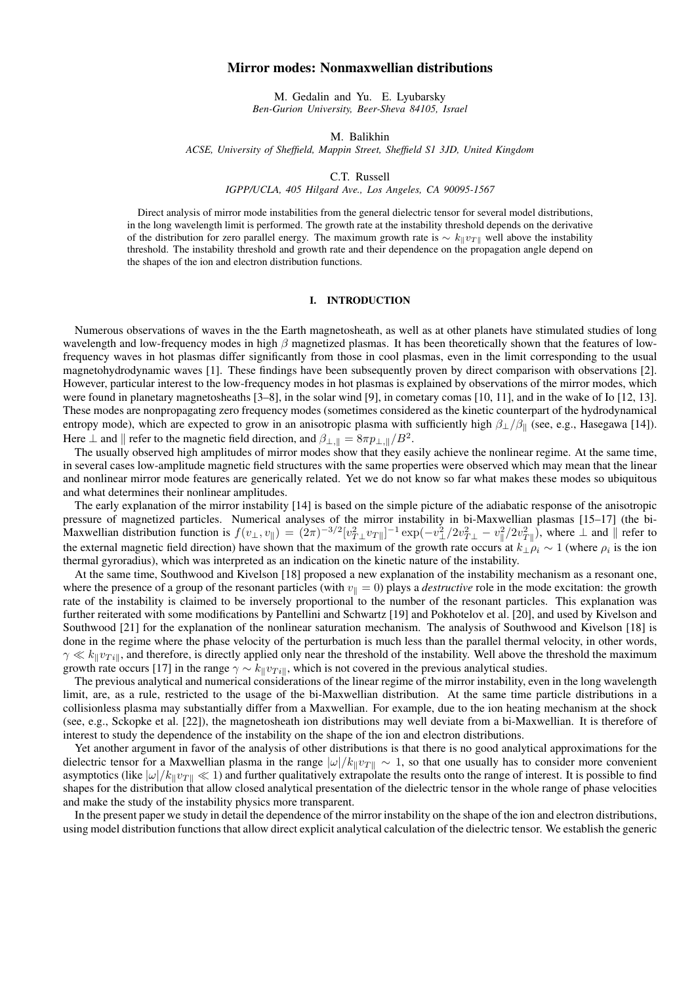# Mirror modes: Nonmaxwellian distributions

M. Gedalin and Yu. E. Lyubarsky *Ben-Gurion University, Beer-Sheva 84105, Israel*

M. Balikhin

*ACSE, University of Sheffield, Mappin Street, Sheffield S1 3JD, United Kingdom*

C.T. Russell

*IGPP/UCLA, 405 Hilgard Ave., Los Angeles, CA 90095-1567*

Direct analysis of mirror mode instabilities from the general dielectric tensor for several model distributions, in the long wavelength limit is performed. The growth rate at the instability threshold depends on the derivative of the distribution for zero parallel energy. The maximum growth rate is  $\sim k_{\parallel}v_{T\parallel}$  well above the instability threshold. The instability threshold and growth rate and their dependence on the propagation angle depend on the shapes of the ion and electron distribution functions.

### I. INTRODUCTION

Numerous observations of waves in the the Earth magnetosheath, as well as at other planets have stimulated studies of long wavelength and low-frequency modes in high  $\beta$  magnetized plasmas. It has been theoretically shown that the features of lowfrequency waves in hot plasmas differ significantly from those in cool plasmas, even in the limit corresponding to the usual magnetohydrodynamic waves [1]. These findings have been subsequently proven by direct comparison with observations [2]. However, particular interest to the low-frequency modes in hot plasmas is explained by observations of the mirror modes, which were found in planetary magnetosheaths [3–8], in the solar wind [9], in cometary comas [10, 11], and in the wake of Io [12, 13]. These modes are nonpropagating zero frequency modes (sometimes considered as the kinetic counterpart of the hydrodynamical entropy mode), which are expected to grow in an anisotropic plasma with sufficiently high  $\beta_{\perp}/\beta_{\parallel}$  (see, e.g., Hasegawa [14]). Here  $\perp$  and  $\parallel$  refer to the magnetic field direction, and  $\beta_{\perp,\parallel} = 8\pi p_{\perp,\parallel}/B^2$ .

The usually observed high amplitudes of mirror modes show that they easily achieve the nonlinear regime. At the same time, in several cases low-amplitude magnetic field structures with the same properties were observed which may mean that the linear and nonlinear mirror mode features are generically related. Yet we do not know so far what makes these modes so ubiquitous and what determines their nonlinear amplitudes.

The early explanation of the mirror instability [14] is based on the simple picture of the adiabatic response of the anisotropic pressure of magnetized particles. Numerical analyses of the mirror instability in bi-Maxwellian plasmas [15–17] (the bi-Maxwellian distribution function is  $f(v_\perp, v_\parallel) = (2\pi)^{-3/2} [v_{T\perp}^2 v_{T\parallel}]^{-1} \exp(-v_\perp^2/2v_{T\perp}^2 - v_\parallel^2/2v_{T\parallel}^2)$ , where  $\perp$  and  $\parallel$  refer to the external magnetic field direction) have shown that the maximum of the growth rate occurs at  $k_\perp \rho_i \sim 1$  (where  $\rho_i$  is the ion thermal gyroradius), which was interpreted as an indication on the kinetic nature of the instability.

At the same time, Southwood and Kivelson [18] proposed a new explanation of the instability mechanism as a resonant one, where the presence of a group of the resonant particles (with  $v_{\parallel} = 0$ ) plays a *destructive* role in the mode excitation: the growth rate of the instability is claimed to be inversely proportional to the number of the resonant particles. This explanation was further reiterated with some modifications by Pantellini and Schwartz [19] and Pokhotelov et al. [20], and used by Kivelson and Southwood [21] for the explanation of the nonlinear saturation mechanism. The analysis of Southwood and Kivelson [18] is done in the regime where the phase velocity of the perturbation is much less than the parallel thermal velocity, in other words,  $\gamma \ll k_{\parallel}v_{Ti\parallel}$ , and therefore, is directly applied only near the threshold of the instability. Well above the threshold the maximum growth rate occurs [17] in the range  $\gamma \sim k_{\parallel}v_{Ti\parallel}$ , which is not covered in the previous analytical studies.

The previous analytical and numerical considerations of the linear regime of the mirror instability, even in the long wavelength limit, are, as a rule, restricted to the usage of the bi-Maxwellian distribution. At the same time particle distributions in a collisionless plasma may substantially differ from a Maxwellian. For example, due to the ion heating mechanism at the shock (see, e.g., Sckopke et al. [22]), the magnetosheath ion distributions may well deviate from a bi-Maxwellian. It is therefore of interest to study the dependence of the instability on the shape of the ion and electron distributions.

Yet another argument in favor of the analysis of other distributions is that there is no good analytical approximations for the dielectric tensor for a Maxwellian plasma in the range  $|\omega|/k_{\parallel}v_{T\parallel} \sim 1$ , so that one usually has to consider more convenient asymptotics (like  $|\omega|/k_{\parallel}v_{\perp\parallel} \ll 1$ ) and further qualitatively extrapolate the results onto the range of interest. It is possible to find shapes for the distribution that allow closed analytical presentation of the dielectric tensor in the whole range of phase velocities and make the study of the instability physics more transparent.

In the present paper we study in detail the dependence of the mirror instability on the shape of the ion and electron distributions, using model distribution functions that allow direct explicit analytical calculation of the dielectric tensor. We establish the generic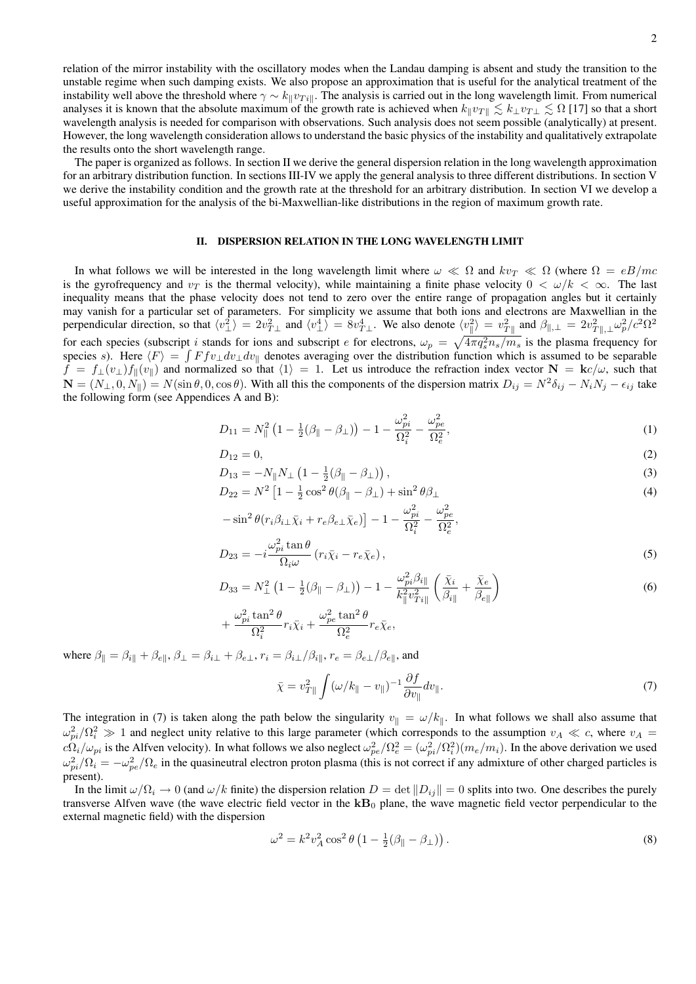relation of the mirror instability with the oscillatory modes when the Landau damping is absent and study the transition to the unstable regime when such damping exists. We also propose an approximation that is useful for the analytical treatment of the instability well above the threshold where  $\gamma \sim k_{\parallel}v_{Ti\parallel}$ . The analysis is carried out in the long wavelength limit. From numerical analyses it is known that the absolute maximum of the growth rate is achieved when  $k_{\parallel}v_{T\parallel} \lesssim k_{\perp}v_{T\perp} \lesssim \Omega$  [17] so that a short wavelength analysis is needed for comparison with observations. Such analysis does not seem possible (analytically) at present. However, the long wavelength consideration allows to understand the basic physics of the instability and qualitatively extrapolate the results onto the short wavelength range.

The paper is organized as follows. In section II we derive the general dispersion relation in the long wavelength approximation for an arbitrary distribution function. In sections III-IV we apply the general analysis to three different distributions. In section V we derive the instability condition and the growth rate at the threshold for an arbitrary distribution. In section VI we develop a useful approximation for the analysis of the bi-Maxwellian-like distributions in the region of maximum growth rate.

### II. DISPERSION RELATION IN THE LONG WAVELENGTH LIMIT

In what follows we will be interested in the long wavelength limit where  $\omega \ll \Omega$  and  $kv_T \ll \Omega$  (where  $\Omega = eB/mc$ is the gyrofrequency and  $v<sub>T</sub>$  is the thermal velocity), while maintaining a finite phase velocity  $0 < \omega/k < \infty$ . The last inequality means that the phase velocity does not tend to zero over the entire range of propagation angles but it certainly may vanish for a particular set of parameters. For simplicity we assume that both ions and electrons are Maxwellian in the perpendicular direction, so that  $\langle v_{\perp}^2 \rangle = 2v_{T\perp}^2$  and  $\langle v_{\perp}^4 \rangle = 8v_{T\perp}^4$ . We also denote  $\langle v_{\parallel}^2 \rangle = v_{T\parallel}^2$  and  $\beta_{\parallel,\perp} = 2v_{T\parallel,\perp}^2 \omega_p^2/c^2 \Omega^2$ for each species (subscript *i* stands for ions and subscript *e* for electrons,  $\omega_p = \sqrt{4\pi q_s^2 n_s/m_s}$  is the plasma frequency for species s). Here  $\langle F \rangle = \int F f v_\perp dv_\perp dv_\parallel$  denotes averaging over the distribution function which is assumed to be separable  $f = f_\perp(v_\perp) f_\parallel(v_\parallel)$  and normalized so that  $\langle 1 \rangle = 1$ . Let us introduce the refraction index vector  $N = \mathbf{k}c/\omega$ , such that  $\mathbf{N} = (N_{\perp}, 0, N_{\parallel}) = N(\sin \theta, 0, \cos \theta)$ . With all this the components of the dispersion matrix  $D_{ij} = N^2 \delta_{ij} - N_i N_j - \epsilon_{ij}$  take the following form (see Appendices A and B):

$$
D_{11} = N_{\parallel}^2 \left( 1 - \frac{1}{2} (\beta_{\parallel} - \beta_{\perp}) \right) - 1 - \frac{\omega_{pi}^2}{\Omega_i^2} - \frac{\omega_{pe}^2}{\Omega_e^2},\tag{1}
$$

$$
D_{12} = 0,\t\t(2)
$$

$$
D_{13} = -N_{\parallel} N_{\perp} \left( 1 - \frac{1}{2} (\beta_{\parallel} - \beta_{\perp}) \right), \tag{3}
$$

$$
D_{22} = N^2 \left[ 1 - \frac{1}{2} \cos^2 \theta (\beta_{\parallel} - \beta_{\perp}) + \sin^2 \theta \beta_{\perp} \right]
$$
(4)

$$
-\sin^2\theta(r_i\beta_{i\perp}\bar{\chi}_i + r_e\beta_{e\perp}\bar{\chi}_e)\big] - 1 - \frac{\omega_{pi}^2}{\Omega_i^2} - \frac{\omega_{pe}^2}{\Omega_e^2},
$$

$$
D_{23} = -i\frac{\omega_{pi}^2 \tan \theta}{\Omega_i \omega} (r_i \bar{\chi}_i - r_e \bar{\chi}_e), \qquad (5)
$$

$$
D_{33} = N_{\perp}^2 \left( 1 - \frac{1}{2} (\beta_{\parallel} - \beta_{\perp}) \right) - 1 - \frac{\omega_{pi}^2 \beta_{i\parallel}}{k_{\parallel}^2 v_{Ti\parallel}^2} \left( \frac{\bar{\chi}_i}{\beta_{i\parallel}} + \frac{\bar{\chi}_e}{\beta_{e\parallel}} \right)
$$
  

$$
\omega^2 \tan^2 \theta \qquad \omega^2 \tan^2 \theta \qquad (6)
$$

$$
+\frac{\omega_{pi}^2\tan^2\theta}{\Omega_i^2}r_i\bar{\chi}_i+\frac{\omega_{pe}^2\tan^2\theta}{\Omega_e^2}r_e\bar{\chi}_e,
$$

where  $\beta_{\parallel} = \beta_{i\parallel} + \beta_{e\parallel}$ ,  $\beta_{\perp} = \beta_{i\perp} + \beta_{e\perp}$ ,  $r_i = \beta_{i\perp}/\beta_{i\parallel}$ ,  $r_e = \beta_{e\perp}/\beta_{e\parallel}$ , and

$$
\bar{\chi} = v_{T\parallel}^2 \int (\omega / k_{\parallel} - v_{\parallel})^{-1} \frac{\partial f}{\partial v_{\parallel}} dv_{\parallel}. \tag{7}
$$

The integration in (7) is taken along the path below the singularity  $v_{\parallel} = \omega/k_{\parallel}$ . In what follows we shall also assume that  $\omega_{pi}^2/\Omega_i^2 \gg 1$  and neglect unity relative to this large parameter (which corresponds to the assumption  $v_A \ll c$ , where  $v_A =$  $c\Omega_i/\omega_{pi}$  is the Alfven velocity). In what follows we also neglect  $\omega_{pe}^2/\Omega_e^2 = (\omega_{pi}^2/\Omega_i^2)(m_e/m_i)$ . In the above derivation we used  $\omega_{pi}^2/\Omega_i = -\omega_{pe}^2/\Omega_e$  in the quasineutral electron proton plasma (this is not correct if any admixture of other charged particles is present).

In the limit  $\omega/\Omega_i \to 0$  (and  $\omega/k$  finite) the dispersion relation  $D = \det ||D_{ij}|| = 0$  splits into two. One describes the purely transverse Alfven wave (the wave electric field vector in the  $kB_0$  plane, the wave magnetic field vector perpendicular to the external magnetic field) with the dispersion

$$
\omega^2 = k^2 v_A^2 \cos^2 \theta \left( 1 - \frac{1}{2} (\beta_{\parallel} - \beta_{\perp}) \right). \tag{8}
$$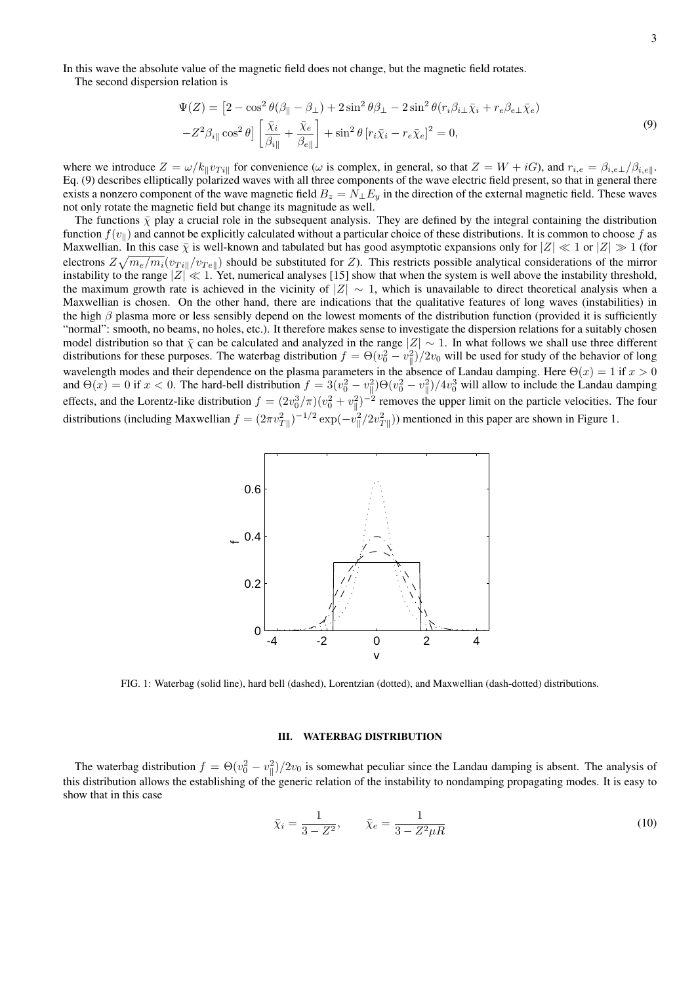In this wave the absolute value of the magnetic field does not change, but the magnetic field rotates.

The second dispersion relation is

$$
\Psi(Z) = \left[2 - \cos^2 \theta (\beta_{\parallel} - \beta_{\perp}) + 2 \sin^2 \theta \beta_{\perp} - 2 \sin^2 \theta (r_i \beta_{i\perp} \bar{\chi}_i + r_e \beta_{e\perp} \bar{\chi}_e) - Z^2 \beta_{i\parallel} \cos^2 \theta \right] \left[ \frac{\bar{\chi}_i}{\beta_{i\parallel}} + \frac{\bar{\chi}_e}{\beta_{e\parallel}} \right] + \sin^2 \theta \left[ r_i \bar{\chi}_i - r_e \bar{\chi}_e \right]^2 = 0,
$$
\n(9)

where we introduce  $Z = \omega/k_{\parallel}v_{Ti\parallel}$  for convenience ( $\omega$  is complex, in general, so that  $Z = W + iG$ ), and  $r_{i,e} = \beta_{i,e}\sqrt{\beta_{i,e}}$ . Eq. (9) describes elliptically polarized waves with all three components of the wave electric field present, so that in general there exists a nonzero component of the wave magnetic field  $B_z = N_{\perp} E_y$  in the direction of the external magnetic field. These waves not only rotate the magnetic field but change its magnitude as well.

The functions  $\bar{\chi}$  play a crucial role in the subsequent analysis. They are defined by the integral containing the distribution function  $f(v_{\parallel})$  and cannot be explicitly calculated without a particular choice of these distributions. It is common to choose f as Maxwellian. In this case  $\bar{\chi}$  is well-known and tabulated but has good asymptotic expansions only for  $|Z| \ll 1$  or  $|Z| \gg 1$  (for electrons  $Z\sqrt{m_e/m_i}(v_{Ti}||/v_{Te}||)$  should be substituted for Z). This restricts possible analytical considerations of the mirror instability to the range  $|Z| \ll 1$ . Yet, numerical analyses [15] show that when the system is well above the instability threshold, the maximum growth rate is achieved in the vicinity of  $|Z| \sim 1$ , which is unavailable to direct theoretical analysis when a Maxwellian is chosen. On the other hand, there are indications that the qualitative features of long waves (instabilities) in the high  $\beta$  plasma more or less sensibly depend on the lowest moments of the distribution function (provided it is sufficiently "normal": smooth, no beams, no holes, etc.). It therefore makes sense to investigate the dispersion relations for a suitably chosen model distribution so that  $\bar{\chi}$  can be calculated and analyzed in the range  $|Z| \sim 1$ . In what follows we shall use three different distributions for these purposes. The waterbag distribution  $f = \Theta(v_0^2 - v_\parallel^2)/2v_0$  will be used for study of the behavior of long wavelength modes and their dependence on the plasma parameters in the absence of Landau damping. Here  $\Theta(x) = 1$  if  $x > 0$ and  $\Theta(x) = 0$  if  $x < 0$ . The hard-bell distribution  $f = 3(v_0^2 - v_\parallel^2)\Theta(v_0^2 - v_\parallel^2)/4v_0^3$  will allow to include the Landau damping effects, and the Lorentz-like distribution  $f = (2v_0^3/\pi)(v_0^2 + v_\parallel^2)^{-2}$  removes the upper limit on the particle velocities. The four distributions (including Maxwellian  $f = (2\pi v_{T\parallel}^2)^{-1/2} \exp(-v_{\parallel}^2/2v_{T\parallel}^2)$ ) mentioned in this paper are shown in Figure 1.



FIG. 1: Waterbag (solid line), hard bell (dashed), Lorentzian (dotted), and Maxwellian (dash-dotted) distributions.

# III. WATERBAG DISTRIBUTION

The waterbag distribution  $f = \Theta(v_0^2 - v_\parallel^2)/2v_0$  is somewhat peculiar since the Landau damping is absent. The analysis of this distribution allows the establishing of the generic relation of the instability to nondamping propagating modes. It is easy to show that in this case

$$
\bar{\chi}_i = \frac{1}{3 - Z^2}, \qquad \bar{\chi}_e = \frac{1}{3 - Z^2 \mu R} \tag{10}
$$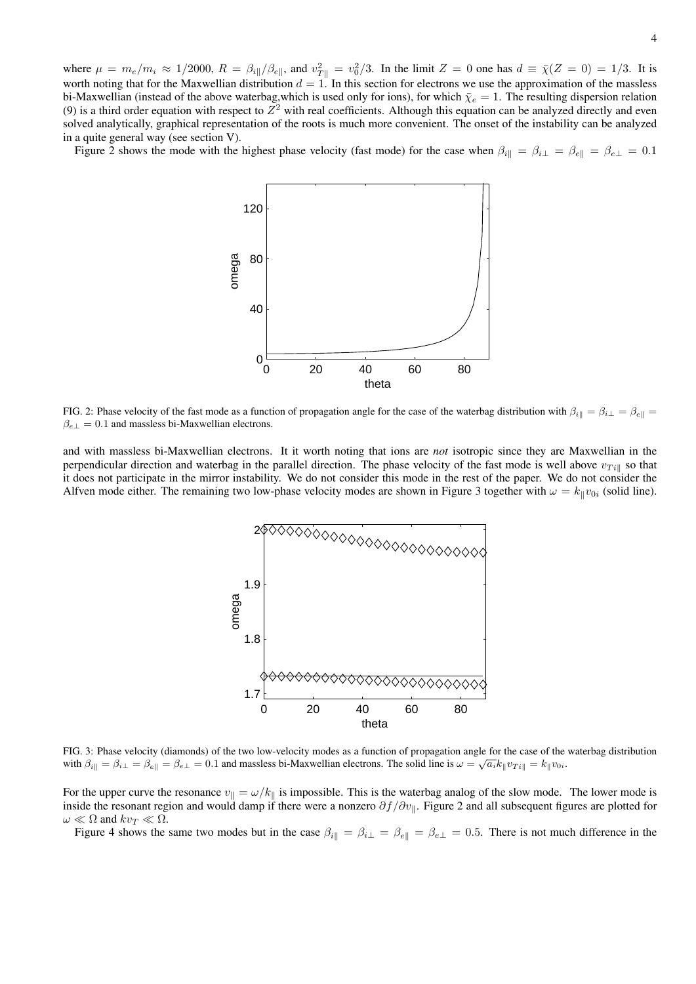Figure 2 shows the mode with the highest phase velocity (fast mode) for the case when  $\beta_{i\parallel} = \beta_{i\perp} = \beta_{e\parallel} = \beta_{e\perp} = 0.1$ 



FIG. 2: Phase velocity of the fast mode as a function of propagation angle for the case of the waterbag distribution with  $\beta_{i\parallel} = \beta_{i\perp} = \beta_{e\parallel}$  $\beta_{e\perp} = 0.1$  and massless bi-Maxwellian electrons.

and with massless bi-Maxwellian electrons. It it worth noting that ions are *not* isotropic since they are Maxwellian in the perpendicular direction and waterbag in the parallel direction. The phase velocity of the fast mode is well above  $v_{Ti}$  so that it does not participate in the mirror instability. We do not consider this mode in the rest of the paper. We do not consider the Alfven mode either. The remaining two low-phase velocity modes are shown in Figure 3 together with  $\omega = k_{\parallel}v_{0i}$  (solid line).



FIG. 3: Phase velocity (diamonds) of the two low-velocity modes as a function of propagation angle for the case of the waterbag distribution  $\mathbb{R}^n$ with  $\beta_{i\parallel} = \beta_{i\perp} = \beta_{e\parallel} = \beta_{e\perp} = 0.1$  and massless bi-Maxwellian electrons. The solid line is  $\omega = \sqrt{a_i k_{\parallel} v_{\text{tri}}} = k_{\parallel} v_{0i}$ .

For the upper curve the resonance  $v_{\parallel} = \omega/k_{\parallel}$  is impossible. This is the waterbag analog of the slow mode. The lower mode is inside the resonant region and would damp if there were a nonzero  $\partial f/\partial v_{\parallel}$ . Figure 2 and all subsequent figures are plotted for  $\omega \ll \Omega$  and  $kv_T \ll \Omega$ .

Figure 4 shows the same two modes but in the case  $\beta_{i\parallel} = \beta_{i\perp} = \beta_{e\perp} = \beta_{e\perp} = 0.5$ . There is not much difference in the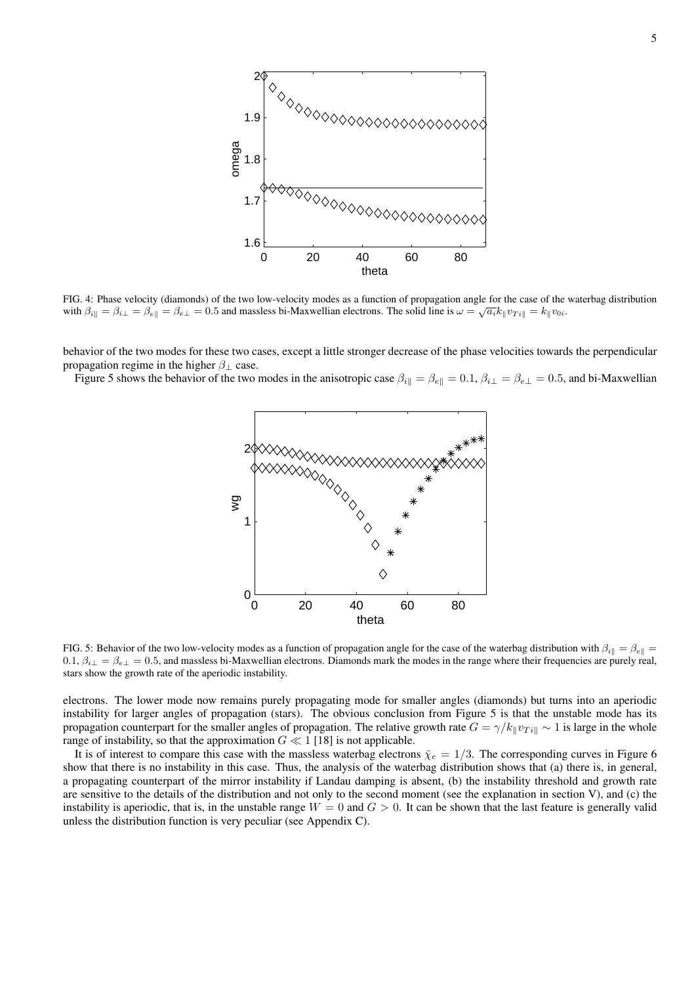

FIG. 4: Phase velocity (diamonds) of the two low-velocity modes as a function of propagation angle for the case of the waterbag distribution with  $\beta_{i\parallel} = \beta_{i\perp} = \beta_{e\parallel} = \beta_{e\perp} = 0.5$  and massless bi-Maxwellian electrons. The solid line is  $\omega = \sqrt{a_i k_{\parallel} v_{\text{tri}}} = k_{\parallel} v_{0i}$ .

behavior of the two modes for these two cases, except a little stronger decrease of the phase velocities towards the perpendicular propagation regime in the higher  $\beta_{\perp}$  case.

Figure 5 shows the behavior of the two modes in the anisotropic case  $\beta_{i\parallel} = \beta_{e\parallel} = 0.1$ ,  $\beta_{i\perp} = \beta_{e\perp} = 0.5$ , and bi-Maxwellian



FIG. 5: Behavior of the two low-velocity modes as a function of propagation angle for the case of the waterbag distribution with  $\beta_{i\parallel} = \beta_{e\parallel}$  $0.1, \beta_{i\perp} = \beta_{e\perp} = 0.5$ , and massless bi-Maxwellian electrons. Diamonds mark the modes in the range where their frequencies are purely real, stars show the growth rate of the aperiodic instability.

electrons. The lower mode now remains purely propagating mode for smaller angles (diamonds) but turns into an aperiodic instability for larger angles of propagation (stars). The obvious conclusion from Figure 5 is that the unstable mode has its propagation counterpart for the smaller angles of propagation. The relative growth rate  $G = \gamma/k_{\parallel}v_{Ti\parallel} \sim 1$  is large in the whole range of instability, so that the approximation  $G \ll 1$  [18] is not applicable.

It is of interest to compare this case with the massless waterbag electrons  $\bar{\chi}_e = 1/3$ . The corresponding curves in Figure 6 show that there is no instability in this case. Thus, the analysis of the waterbag distribution shows that (a) there is, in general, a propagating counterpart of the mirror instability if Landau damping is absent, (b) the instability threshold and growth rate are sensitive to the details of the distribution and not only to the second moment (see the explanation in section V), and (c) the instability is aperiodic, that is, in the unstable range  $W = 0$  and  $G > 0$ . It can be shown that the last feature is generally valid unless the distribution function is very peculiar (see Appendix C).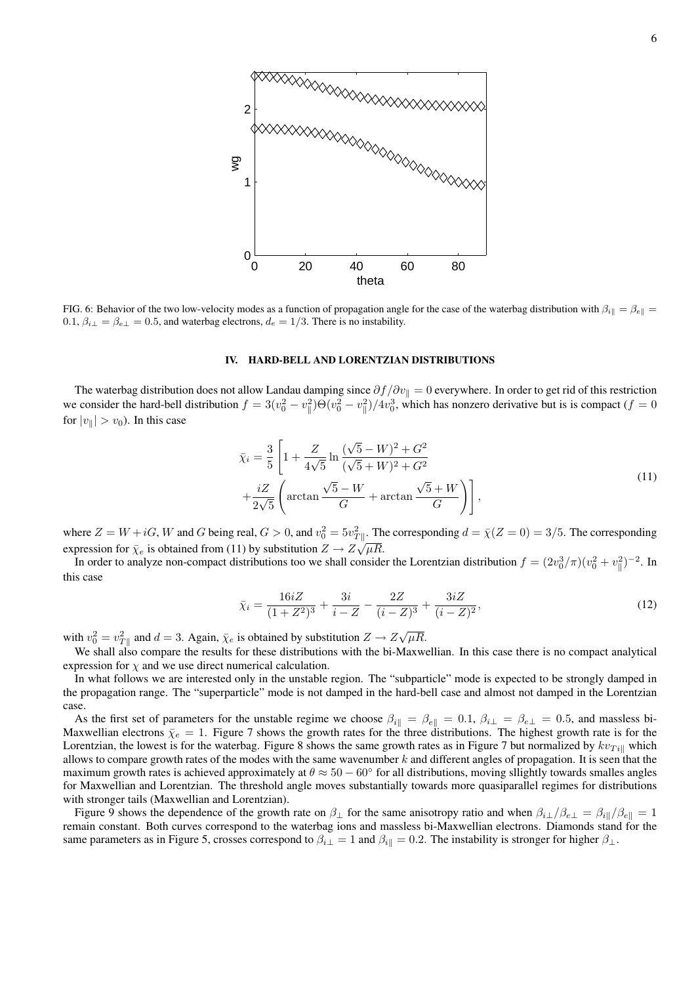

FIG. 6: Behavior of the two low-velocity modes as a function of propagation angle for the case of the waterbag distribution with  $\beta_{i\parallel} = \beta_{e\parallel}$  $0.1, \beta_{i\perp} = \beta_{e\perp} = 0.5$ , and waterbag electrons,  $d_e = 1/3$ . There is no instability.

#### IV. HARD-BELL AND LORENTZIAN DISTRIBUTIONS

The waterbag distribution does not allow Landau damping since  $\partial f/\partial v_{\parallel} = 0$  everywhere. In order to get rid of this restriction we consider the hard-bell distribution  $f = 3(v_0^2 - v_0^2) \Theta(v_0^2 - v_0^2)/4v_0^3$ , which has nonzero derivative but is is compact  $(f = 0$ for  $|v_{\parallel}| > v_0$ ). In this case

$$
\bar{\chi}_i = \frac{3}{5} \left[ 1 + \frac{Z}{4\sqrt{5}} \ln \frac{(\sqrt{5} - W)^2 + G^2}{(\sqrt{5} + W)^2 + G^2} + \frac{iZ}{2\sqrt{5}} \left( \arctan \frac{\sqrt{5} - W}{G} + \arctan \frac{\sqrt{5} + W}{G} \right) \right],
$$
\n(11)

where  $Z = W + iG$ , W and G being real,  $G > 0$ , and  $v_0^2 = 5v_{T}^2$ . The corresponding  $d = \overline{\chi}(Z = 0) = 3/5$ . The corresponding expression for  $\bar{\chi}_e$  is obtained from (11) by substitution  $Z \to Z\sqrt{\mu R}$ .

In order to analyze non-compact distributions too we shall consider the Lorentzian distribution  $f = (2v_0^3/\pi)(v_0^2 + v_{\parallel}^2)^{-2}$ . In this case

$$
\bar{\chi}_i = \frac{16iZ}{(1+Z^2)^3} + \frac{3i}{i-Z} - \frac{2Z}{(i-Z)^3} + \frac{3iZ}{(i-Z)^2},\tag{12}
$$

with  $v_0^2 = v_{T\parallel}^2$  and  $d = 3$ . Again,  $\bar{\chi}_e$  is obtained by substitution  $Z \to Z \sqrt{\mu R}$ .

We shall also compare the results for these distributions with the bi-Maxwellian. In this case there is no compact analytical expression for  $\chi$  and we use direct numerical calculation.

In what follows we are interested only in the unstable region. The "subparticle" mode is expected to be strongly damped in the propagation range. The "superparticle" mode is not damped in the hard-bell case and almost not damped in the Lorentzian case.

As the first set of parameters for the unstable regime we choose  $\beta_{i\parallel} = \beta_{e\parallel} = 0.1$ ,  $\beta_{i\perp} = \beta_{e\perp} = 0.5$ , and massless bi-Maxwellian electrons  $\bar{\chi}_e = 1$ . Figure 7 shows the growth rates for the three distributions. The highest growth rate is for the Lorentzian, the lowest is for the waterbag. Figure 8 shows the same growth rates as in Figure 7 but normalized by  $kv_{Ti||}$  which allows to compare growth rates of the modes with the same wavenumber  $k$  and different angles of propagation. It is seen that the maximum growth rates is achieved approximately at  $\theta \approx 50-60^\circ$  for all distributions, moving sllightly towards smalles angles for Maxwellian and Lorentzian. The threshold angle moves substantially towards more quasiparallel regimes for distributions with stronger tails (Maxwellian and Lorentzian).

Figure 9 shows the dependence of the growth rate on  $\beta_{\perp}$  for the same anisotropy ratio and when  $\beta_{i\perp}/\beta_{e\perp} = \beta_{i\parallel}/\beta_{e\parallel} = 1$ remain constant. Both curves correspond to the waterbag ions and massless bi-Maxwellian electrons. Diamonds stand for the same parameters as in Figure 5, crosses correspond to  $\beta_{i\perp} = 1$  and  $\beta_{i\parallel} = 0.2$ . The instability is stronger for higher  $\beta_{\perp}$ .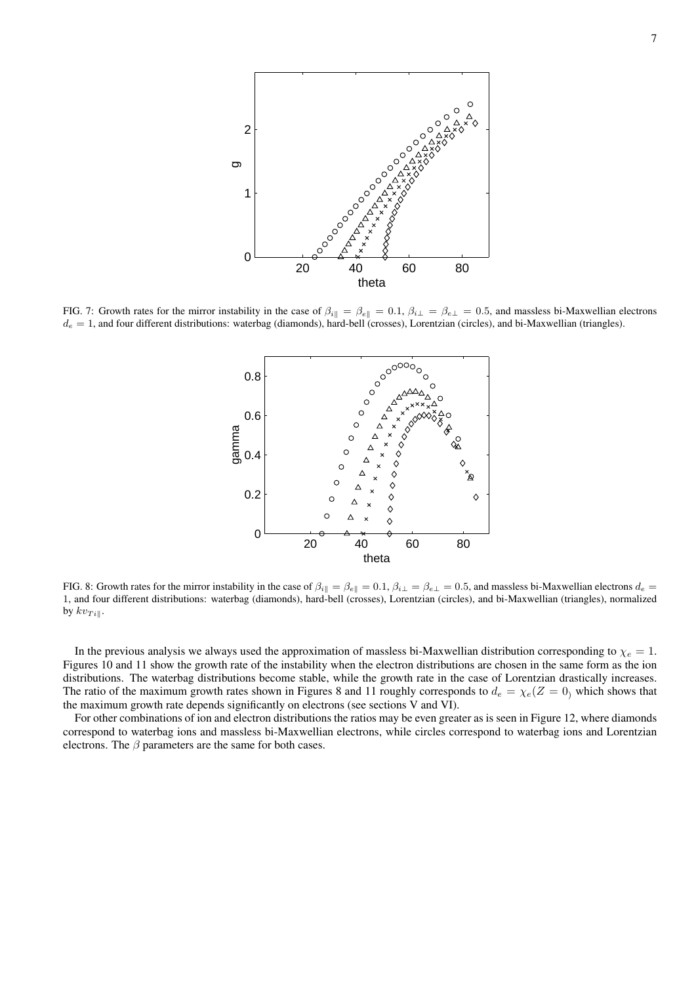

FIG. 7: Growth rates for the mirror instability in the case of  $\beta_{i\parallel} = \beta_{e\parallel} = 0.1$ ,  $\beta_{i\perp} = \beta_{e\perp} = 0.5$ , and massless bi-Maxwellian electrons  $d_e = 1$ , and four different distributions: waterbag (diamonds), hard-bell (crosses), Lorentzian (circles), and bi-Maxwellian (triangles).



FIG. 8: Growth rates for the mirror instability in the case of  $\beta_{i\parallel} = \beta_{e\parallel} = 0.1$ ,  $\beta_{i\perp} = \beta_{e\perp} = 0.5$ , and massless bi-Maxwellian electrons  $d_e =$ 1, and four different distributions: waterbag (diamonds), hard-bell (crosses), Lorentzian (circles), and bi-Maxwellian (triangles), normalized by  $kv_{Ti\parallel}$ .

In the previous analysis we always used the approximation of massless bi-Maxwellian distribution corresponding to  $\chi_e = 1$ . Figures 10 and 11 show the growth rate of the instability when the electron distributions are chosen in the same form as the ion distributions. The waterbag distributions become stable, while the growth rate in the case of Lorentzian drastically increases. The ratio of the maximum growth rates shown in Figures 8 and 11 roughly corresponds to  $d_e = \chi_e(Z = 0)$  which shows that the maximum growth rate depends significantly on electrons (see sections V and VI).

For other combinations of ion and electron distributions the ratios may be even greater as is seen in Figure 12, where diamonds correspond to waterbag ions and massless bi-Maxwellian electrons, while circles correspond to waterbag ions and Lorentzian electrons. The  $\beta$  parameters are the same for both cases.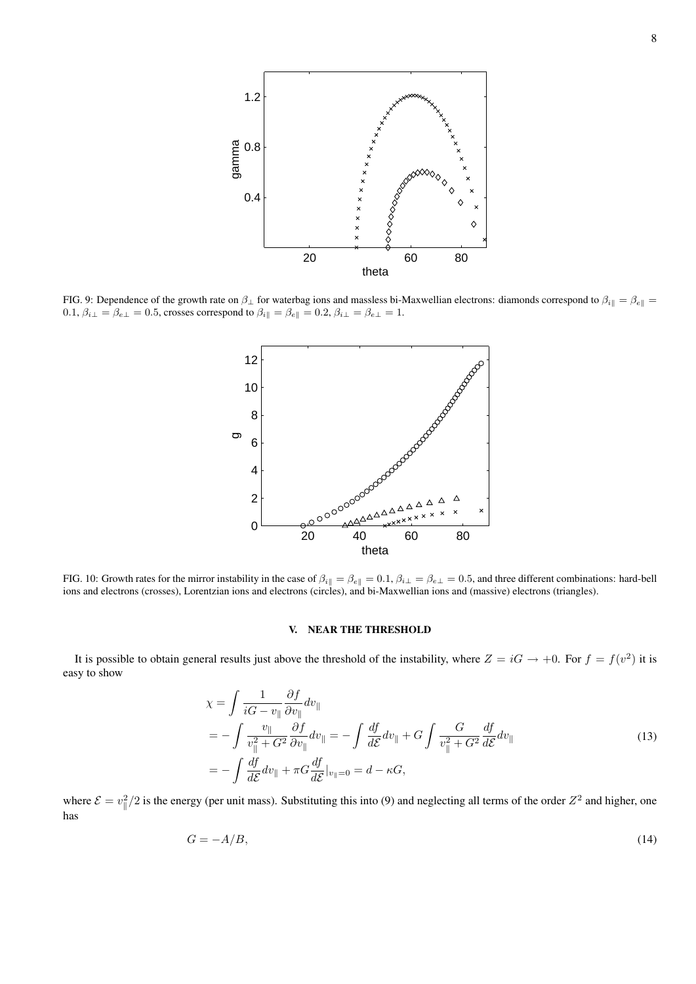

FIG. 9: Dependence of the growth rate on  $\beta_{\perp}$  for waterbag ions and massless bi-Maxwellian electrons: diamonds correspond to  $\beta_{i\parallel} = \beta_{e\parallel}$ 0.1,  $\beta_{i\perp} = \beta_{e\perp} = 0.5$ , crosses correspond to  $\beta_{i\parallel} = \beta_{e\parallel} = 0.2$ ,  $\beta_{i\perp} = \beta_{e\perp} = 1$ .



FIG. 10: Growth rates for the mirror instability in the case of  $\beta_{i\parallel} = \beta_{e\parallel} = 0.1$ ,  $\beta_{i\perp} = \beta_{e\perp} = 0.5$ , and three different combinations: hard-bell ions and electrons (crosses), Lorentzian ions and electrons (circles), and bi-Maxwellian ions and (massive) electrons (triangles).

### V. NEAR THE THRESHOLD

It is possible to obtain general results just above the threshold of the instability, where  $Z = iG \to +0$ . For  $f = f(v^2)$  it is easy to show

$$
\chi = \int \frac{1}{iG - v_{\parallel}} \frac{\partial f}{\partial v_{\parallel}} dv_{\parallel}
$$
  
= 
$$
- \int \frac{v_{\parallel}}{v_{\parallel}^2 + G^2} \frac{\partial f}{\partial v_{\parallel}} dv_{\parallel} = - \int \frac{df}{d\mathcal{E}} dv_{\parallel} + G \int \frac{G}{v_{\parallel}^2 + G^2} \frac{df}{d\mathcal{E}} dv_{\parallel}
$$
  
= 
$$
- \int \frac{df}{d\mathcal{E}} dv_{\parallel} + \pi G \frac{df}{d\mathcal{E}} |_{v_{\parallel} = 0} = d - \kappa G,
$$
 (13)

where  $\mathcal{E} = v_{\parallel}^2/2$  is the energy (per unit mass). Substituting this into (9) and neglecting all terms of the order  $Z^2$  and higher, one has

$$
G = -A/B,\tag{14}
$$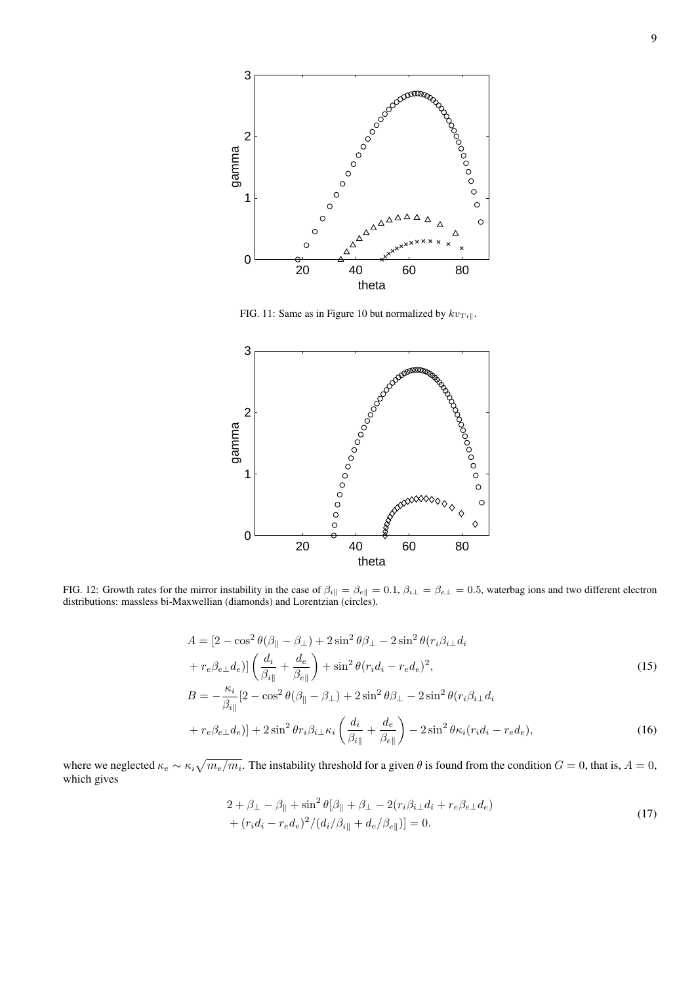

FIG. 11: Same as in Figure 10 but normalized by  $kv_{Ti\parallel}$ .



FIG. 12: Growth rates for the mirror instability in the case of  $\beta_{i\parallel} = \beta_{e\parallel} = 0.1$ ,  $\beta_{i\perp} = \beta_{e\perp} = 0.5$ , waterbag ions and two different electron distributions: massless bi-Maxwellian (diamonds) and Lorentzian (circles).

$$
A = \left[2 - \cos^2\theta(\beta_{\parallel} - \beta_{\perp}) + 2\sin^2\theta\beta_{\perp} - 2\sin^2\theta(r_i\beta_{i\perp}d_i + r_e\beta_{e\perp}d_e)\right] \left(\frac{d_i}{\beta_{i\parallel}} + \frac{d_e}{\beta_{e\parallel}}\right) + \sin^2\theta(r_i d_i - r_e d_e)^2,
$$
\n
$$
B = -\frac{\kappa_i}{\beta_{i\parallel}}\left[2 - \cos^2\theta(\beta_{\parallel} - \beta_{\perp}) + 2\sin^2\theta\beta_{\perp} - 2\sin^2\theta(r_i\beta_{i\perp}d_i + r_e\beta_{e\perp}d_e)\right] + 2\sin^2\theta r_i\beta_{i\perp}\kappa_i \left(\frac{d_i}{\beta_{i\parallel}} + \frac{d_e}{\beta_{e\parallel}}\right) - 2\sin^2\theta \kappa_i(r_i d_i - r_e d_e),
$$
\n(16)

where we neglected  $\kappa_e \sim \kappa_i \sqrt{m_e/m_i}$ . The instability threshold for a given  $\theta$  is found from the condition  $G = 0$ , that is,  $A = 0$ , which gives

$$
2 + \beta_{\perp} - \beta_{\parallel} + \sin^2 \theta [\beta_{\parallel} + \beta_{\perp} - 2(r_i \beta_{i\perp} d_i + r_e \beta_{e\perp} d_e) + (r_i d_i - r_e d_e)^2 / (d_i / \beta_{i\parallel} + d_e / \beta_{e\parallel})] = 0.
$$
\n(17)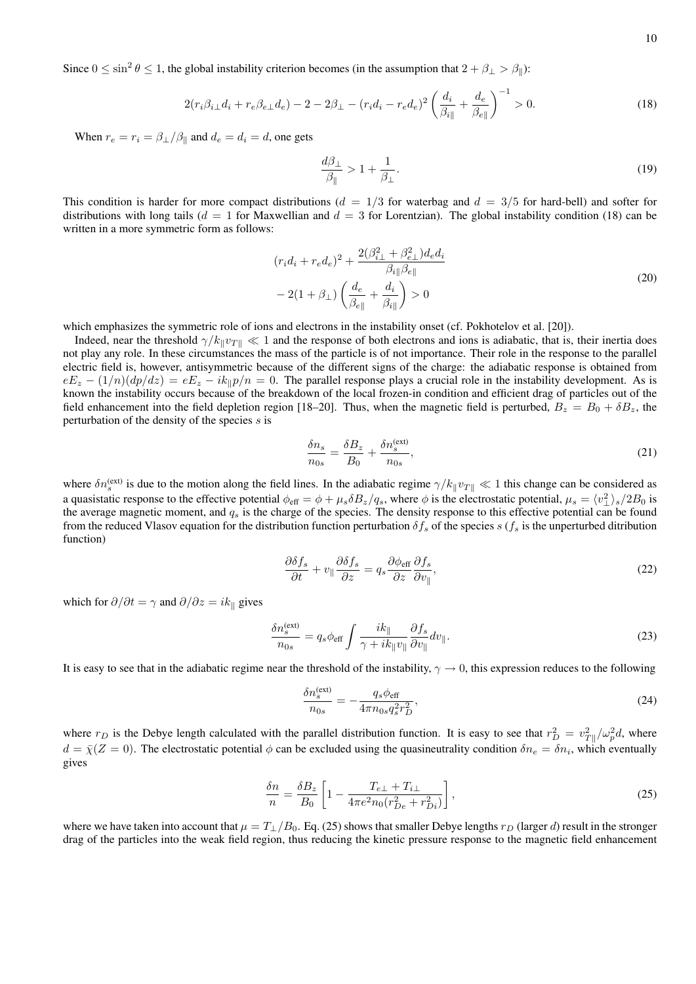Since  $0 \le \sin^2 \theta \le 1$ , the global instability criterion becomes (in the assumption that  $2 + \beta_{\perp} > \beta_{\parallel}$ ):

$$
2(r_i\beta_{i\perp}d_i + r_e\beta_{e\perp}d_e) - 2 - 2\beta_{\perp} - (r_i d_i - r_e d_e)^2 \left(\frac{d_i}{\beta_{i\parallel}} + \frac{d_e}{\beta_{e\parallel}}\right)^{-1} > 0.
$$
 (18)

When  $r_e = r_i = \beta_{\perp}/\beta_{\parallel}$  and  $d_e = d_i = d$ , one gets

$$
\frac{d\beta_{\perp}}{\beta_{\parallel}} > 1 + \frac{1}{\beta_{\perp}}.\tag{19}
$$

This condition is harder for more compact distributions ( $d = 1/3$  for waterbag and  $d = 3/5$  for hard-bell) and softer for distributions with long tails ( $d = 1$  for Maxwellian and  $d = 3$  for Lorentzian). The global instability condition (18) can be written in a more symmetric form as follows:

$$
(r_i d_i + r_e d_e)^2 + \frac{2(\beta_{i\perp}^2 + \beta_{e\perp}^2) d_e d_i}{\beta_{i\parallel} \beta_{e\parallel}}
$$
  

$$
-2(1 + \beta_{\perp}) \left(\frac{d_e}{\beta_{e\parallel}} + \frac{d_i}{\beta_{i\parallel}}\right) > 0
$$
 (20)

which emphasizes the symmetric role of ions and electrons in the instability onset (cf. Pokhotelov et al. [20]).

Indeed, near the threshold  $\gamma/k_{\parallel}v_{\perp\parallel}\ll 1$  and the response of both electrons and ions is adiabatic, that is, their inertia does not play any role. In these circumstances the mass of the particle is of not importance. Their role in the response to the parallel electric field is, however, antisymmetric because of the different signs of the charge: the adiabatic response is obtained from  $eE_z - (1/n)(dp/dz) = eE_z - ik_{\parallel}p/n = 0$ . The parallel response plays a crucial role in the instability development. As is known the instability occurs because of the breakdown of the local frozen-in condition and efficient drag of particles out of the field enhancement into the field depletion region [18–20]. Thus, when the magnetic field is perturbed,  $B_z = B_0 + \delta B_z$ , the perturbation of the density of the species s is

$$
\frac{\delta n_s}{n_{0s}} = \frac{\delta B_z}{B_0} + \frac{\delta n_s^{\text{(ext)}}}{n_{0s}},\tag{21}
$$

where  $\delta n_s^{(ext)}$  is due to the motion along the field lines. In the adiabatic regime  $\gamma/k_{\parallel}v_{T\parallel}\ll 1$  this change can be considered as a quasistatic response to the effective potential  $\phi_{\text{eff}} = \phi + \mu_s \delta B_z / q_s$ , where  $\phi$  is the electrostatic potential,  $\mu_s = \langle v_\perp^2 \rangle_s / 2B_0$  is the average magnetic moment, and  $q_s$  is the charge of the species. The density response to this effective potential can be found from the reduced Vlasov equation for the distribution function perturbation  $\delta f_s$  of the species s ( $f_s$  is the unperturbed ditribution function)

$$
\frac{\partial \delta f_s}{\partial t} + v_{\parallel} \frac{\partial \delta f_s}{\partial z} = q_s \frac{\partial \phi_{\text{eff}}}{\partial z} \frac{\partial f_s}{\partial v_{\parallel}},\tag{22}
$$

which for  $\partial/\partial t = \gamma$  and  $\partial/\partial z = ik_{\parallel}$  gives

$$
\frac{\delta n_s^{(\text{ext})}}{n_{0s}} = q_s \phi_{\text{eff}} \int \frac{ik_{\parallel}}{\gamma + ik_{\parallel} v_{\parallel}} \frac{\partial f_s}{\partial v_{\parallel}} dv_{\parallel}. \tag{23}
$$

It is easy to see that in the adiabatic regime near the threshold of the instability,  $\gamma \to 0$ , this expression reduces to the following

$$
\frac{\delta n_s^{\text{(ext)}}}{n_{0s}} = -\frac{q_s \phi_{\text{eff}}}{4\pi n_{0s} q_s^2 r_D^2},\tag{24}
$$

where  $r_D$  is the Debye length calculated with the parallel distribution function. It is easy to see that  $r_D^2 = v_{T\parallel}^2 / \omega_p^2 d$ , where  $d = \bar{\chi}(Z=0)$ . The electrostatic potential  $\phi$  can be excluded using the quasineutrality condition  $\delta n_e = \delta n_i$ , which eventually gives

$$
\frac{\delta n}{n} = \frac{\delta B_z}{B_0} \left[ 1 - \frac{T_{e\perp} + T_{i\perp}}{4\pi e^2 n_0 (r_{De}^2 + r_{Di}^2)} \right],\tag{25}
$$

where we have taken into account that  $\mu = T_1/B_0$ . Eq. (25) shows that smaller Debye lengths  $r_D$  (larger d) result in the stronger drag of the particles into the weak field region, thus reducing the kinetic pressure response to the magnetic field enhancement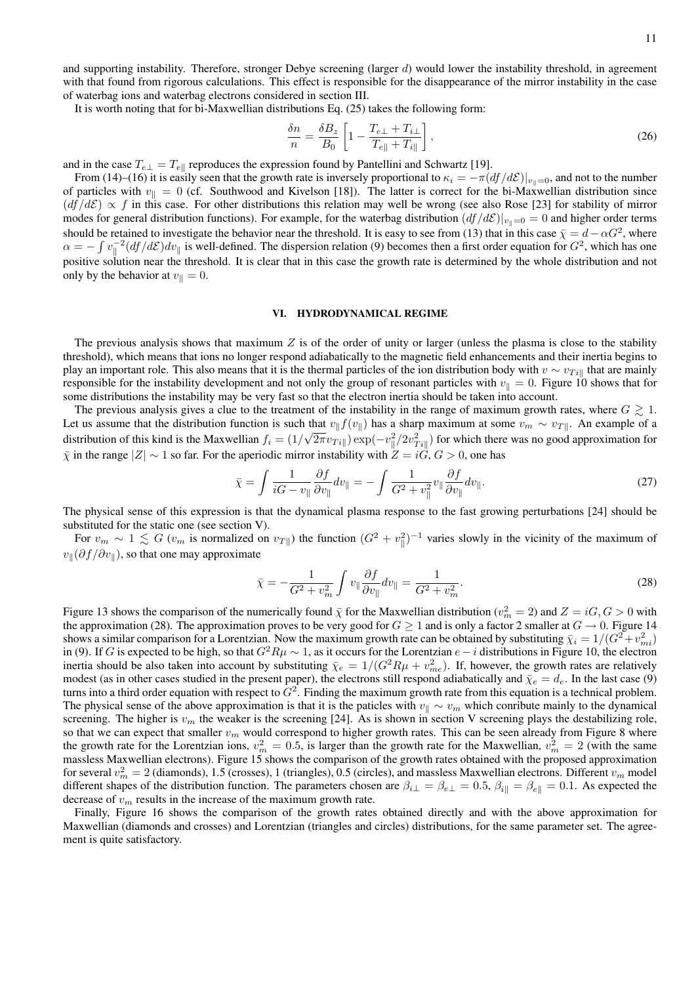and supporting instability. Therefore, stronger Debye screening (larger  $d$ ) would lower the instability threshold, in agreement with that found from rigorous calculations. This effect is responsible for the disappearance of the mirror instability in the case of waterbag ions and waterbag electrons considered in section III.

It is worth noting that for bi-Maxwellian distributions Eq. (25) takes the following form:

$$
\frac{\delta n}{n} = \frac{\delta B_z}{B_0} \left[ 1 - \frac{T_{e\perp} + T_{i\perp}}{T_{e\parallel} + T_{i\parallel}} \right],\tag{26}
$$

and in the case  $T_{e\perp} = T_{e\parallel}$  reproduces the expression found by Pantellini and Schwartz [19].

From (14)–(16) it is easily seen that the growth rate is inversely proportional to  $\kappa_i = -\pi (df/d\mathcal{E})|_{v_{\parallel}=0}$ , and not to the number of particles with  $v_{\parallel} = 0$  (cf. Southwood and Kivelson [18]). The latter is correct for the bi-Maxwellian distribution since  $(df/dE) \propto f$  in this case. For other distributions this relation may well be wrong (see also Rose [23] for stability of mirror modes for general distribution functions). For example, for the waterbag distribution  $(df/dE)|_{v_{\parallel}=0} = 0$  and higher order terms should be retained to investigate the behavior near the threshold. It is easy to see from (13) that in this case  $\bar{\chi} = d - \alpha G^2$ , where  $\alpha = -\int v_\parallel^{-2} (df/d\mathcal{E}) dv_\parallel$  is well-defined. The dispersion relation (9) becomes then a first order equation for  $G^2$ , which has one positive solution near the threshold. It is clear that in this case the growth rate is determined by the whole distribution and not only by the behavior at  $v_{\parallel} = 0$ .

#### VI. HYDRODYNAMICAL REGIME

The previous analysis shows that maximum Z is of the order of unity or larger (unless the plasma is close to the stability threshold), which means that ions no longer respond adiabatically to the magnetic field enhancements and their inertia begins to play an important role. This also means that it is the thermal particles of the ion distribution body with  $v \sim v_{Ti}$  that are mainly responsible for the instability development and not only the group of resonant particles with  $v_{\parallel} = 0$ . Figure 10 shows that for some distributions the instability may be very fast so that the electron inertia should be taken into account.

The previous analysis gives a clue to the treatment of the instability in the range of maximum growth rates, where  $G \geq 1$ . Let us assume that the distribution function is such that  $v_{\parallel} f(v_{\parallel})$  has a sharp maximum at some  $v_m \sim v_{T\parallel}$ . An example of a distribution of this kind is the Maxwellian  $f_i = (1/\sqrt{2\pi}v_{Ti}||) \exp(-v_{\parallel}^2/2v_{Ti}^2||)$  for which there was no good approximation for  $\overline{\chi}$  in the range  $|Z| \sim 1$  so far. For the aperiodic mirror instability with  $Z = i\overline{G}, G > 0$ , one has

$$
\bar{\chi} = \int \frac{1}{iG - v_{\parallel}} \frac{\partial f}{\partial v_{\parallel}} dv_{\parallel} = -\int \frac{1}{G^2 + v_{\parallel}^2} v_{\parallel} \frac{\partial f}{\partial v_{\parallel}} dv_{\parallel}. \tag{27}
$$

The physical sense of this expression is that the dynamical plasma response to the fast growing perturbations [24] should be substituted for the static one (see section V).

For  $v_m \sim 1 \lesssim G(v_m$  is normalized on  $v_{T\parallel}$ ) the function  $(G^2 + v_{\parallel}^2)^{-1}$  varies slowly in the vicinity of the maximum of  $v_{\parallel}(\partial f/\partial v_{\parallel})$ , so that one may approximate

$$
\bar{\chi} = -\frac{1}{G^2 + v_m^2} \int v_{\parallel} \frac{\partial f}{\partial v_{\parallel}} dv_{\parallel} = \frac{1}{G^2 + v_m^2}.
$$
\n(28)

Figure 13 shows the comparison of the numerically found  $\bar{\chi}$  for the Maxwellian distribution ( $v_m^2 = 2$ ) and  $Z = iG, G > 0$  with the approximation (28). The approximation proves to be very good for  $G \ge 1$  and is only a factor 2 smaller at  $G \to 0$ . Figure 14 shows a similar comparison for a Lorentzian. Now the maximum growth rate can be obtained by substituting  $\bar{\chi}_i = 1/(G^2 + v_{mi}^2)$ in (9). If G is expected to be high, so that  $G^2R\mu \sim 1$ , as it occurs for the Lorentzian  $e-i$  distributions in Figure 10, the electron inertia should be also taken into account by substituting  $\bar{\chi}_e = 1/(G^2 R\mu + v_{me}^2)$ . If, however, the growth rates are relatively modest (as in other cases studied in the present paper), the electrons still respond adiabatically and  $\bar{\chi}_e = d_e$ . In the last case (9) turns into a third order equation with respect to  $G^2$ . Finding the maximum growth rate from this equation is a technical problem. The physical sense of the above approximation is that it is the paticles with  $v_{\parallel} \sim v_m$  which conribute mainly to the dynamical screening. The higher is  $v_m$  the weaker is the screening [24]. As is shown in section V screening plays the destabilizing role, so that we can expect that smaller  $v_m$  would correspond to higher growth rates. This can be seen already from Figure 8 where the growth rate for the Lorentzian ions,  $v_m^2 = 0.5$ , is larger than the growth rate for the Maxwellian,  $v_m^2 = 2$  (with the same massless Maxwellian electrons). Figure 15 shows the comparison of the growth rates obtained with the proposed approximation for several  $v_m^2 = 2$  (diamonds), 1.5 (crosses), 1 (triangles), 0.5 (circles), and massless Maxwellian electrons. Different  $v_m$  model different shapes of the distribution function. The parameters chosen are  $\beta_{i\perp} = \beta_{e\perp} = 0.5$ ,  $\beta_{i\parallel} = \beta_{e\parallel} = 0.1$ . As expected the decrease of  $v_m$  results in the increase of the maximum growth rate.

Finally, Figure 16 shows the comparison of the growth rates obtained directly and with the above approximation for Maxwellian (diamonds and crosses) and Lorentzian (triangles and circles) distributions, for the same parameter set. The agreement is quite satisfactory.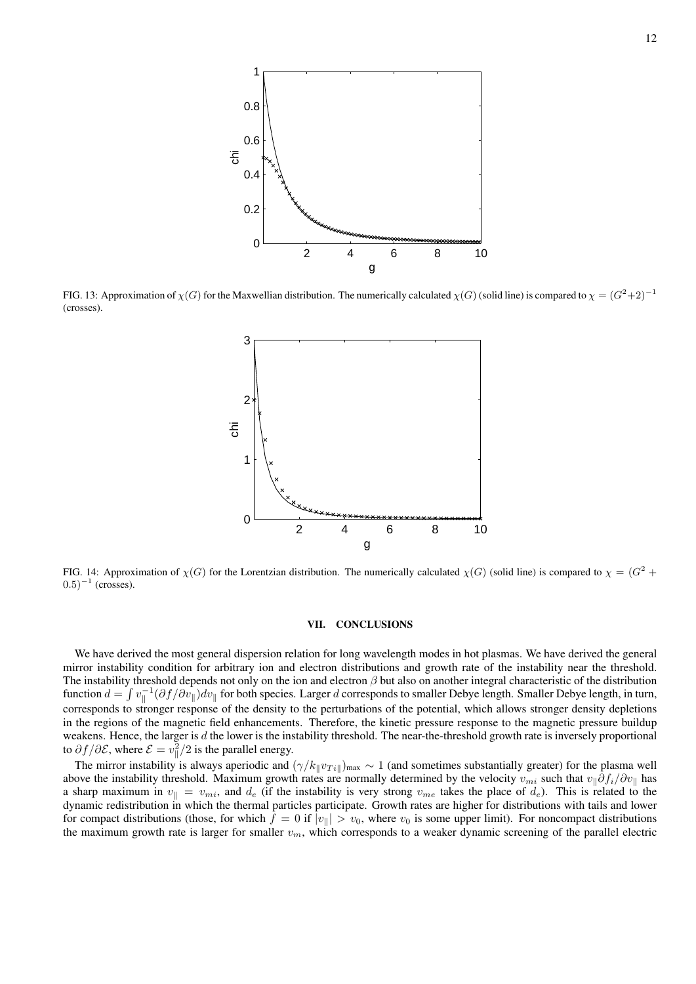

FIG. 13: Approximation of  $\chi(G)$  for the Maxwellian distribution. The numerically calculated  $\chi(G)$  (solid line) is compared to  $\chi = (G^2 + 2)^{-1}$ (crosses).



FIG. 14: Approximation of  $\chi(G)$  for the Lorentzian distribution. The numerically calculated  $\chi(G)$  (solid line) is compared to  $\chi = (G^2 +$  $(0.5)^{-1}$  (crosses).

### VII. CONCLUSIONS

We have derived the most general dispersion relation for long wavelength modes in hot plasmas. We have derived the general mirror instability condition for arbitrary ion and electron distributions and growth rate of the instability near the threshold. The instability threshold depends not only on the ion and electron  $\beta$  but also on another integral characteristic of the distribution function  $d = \int v_\parallel^{-1} (\partial f / \partial v_\parallel) dv_\parallel$  for both species. Larger d corresponds to smaller Debye length. Smaller Debye length, in turn, corresponds to stronger response of the density to the perturbations of the potential, which allows stronger density depletions in the regions of the magnetic field enhancements. Therefore, the kinetic pressure response to the magnetic pressure buildup weakens. Hence, the larger is  $d$  the lower is the instability threshold. The near-the-threshold growth rate is inversely proportional to  $\partial f / \partial \mathcal{E}$ , where  $\mathcal{E} = v_{\parallel}^2 / 2$  is the parallel energy.

The mirror instability is always aperiodic and  $(\gamma/k_{\parallel}v_{Ti\parallel})_{\text{max}} \sim 1$  (and sometimes substantially greater) for the plasma well above the instability threshold. Maximum growth rates are normally determined by the velocity  $v_{mi}$  such that  $v_{\parallel}\partial f_i/\partial v_{\parallel}$  has a sharp maximum in  $v_{\parallel} = v_{mi}$ , and  $d_e$  (if the instability is very strong  $v_{me}$  takes the place of  $d_e$ ). This is related to the dynamic redistribution in which the thermal particles participate. Growth rates are higher for distributions with tails and lower for compact distributions (those, for which  $f = 0$  if  $|v_{\parallel}| > v_0$ , where  $v_0$  is some upper limit). For noncompact distributions the maximum growth rate is larger for smaller  $v_m$ , which corresponds to a weaker dynamic screening of the parallel electric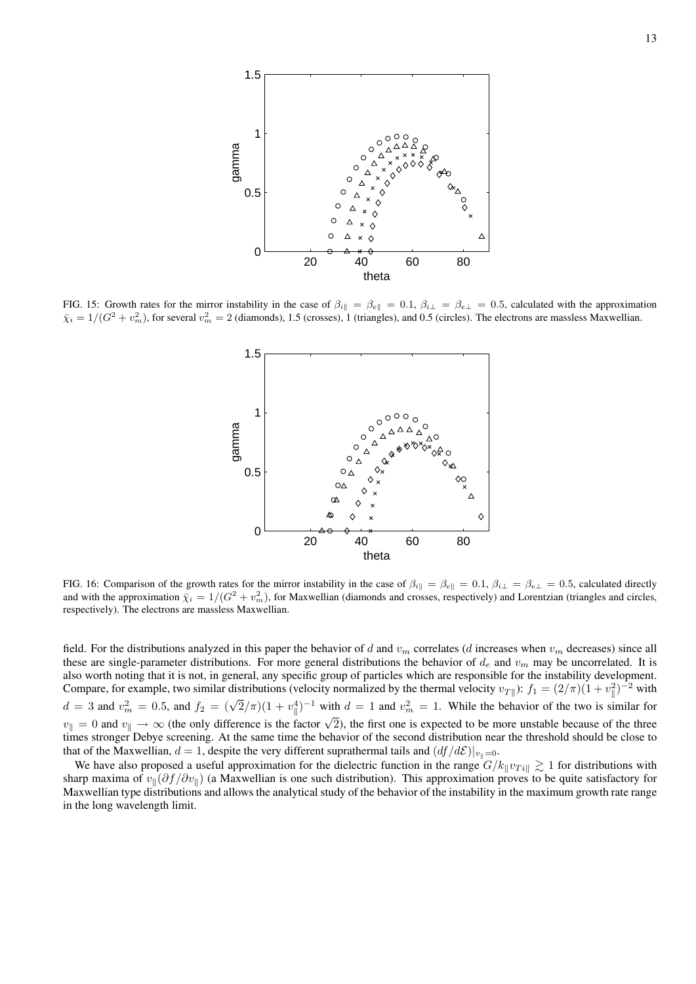

FIG. 15: Growth rates for the mirror instability in the case of  $\beta_{i\parallel} = \beta_{e\parallel} = 0.1$ ,  $\beta_{i\perp} = \beta_{e\perp} = 0.5$ , calculated with the approximation  $\bar{\chi}_i = 1/(G^2 + v_m^2)$ , for several  $v_m^2 = 2$  (diamonds), 1.5 (crosses), 1 (triangles), and 0.5 (circles). The electrons are massless Maxwellian.



FIG. 16: Comparison of the growth rates for the mirror instability in the case of  $\beta_{i\parallel} = \beta_{e\parallel} = 0.1$ ,  $\beta_{i\perp} = \beta_{e\perp} = 0.5$ , calculated directly and with the approximation  $\bar{\chi}_i = 1/(G^2 + v_m^2)$ , for Maxwellian (diamonds and crosses, respectively) and Lorentzian (triangles and circles, respectively). The electrons are massless Maxwellian.

field. For the distributions analyzed in this paper the behavior of d and  $v_m$  correlates (d increases when  $v_m$  decreases) since all these are single-parameter distributions. For more general distributions the behavior of  $d_e$  and  $v_m$  may be uncorrelated. It is also worth noting that it is not, in general, any specific group of particles which are responsible for the instability development. Compare, for example, two similar distributions (velocity normalized by the thermal velocity  $v_{T\parallel}$ ):  $f_1 = (2/\pi)(1 + v_\parallel^2)^{-2}$  with  $d = 3$  and  $v_m^2 = 0.5$ , and  $f_2 = (\sqrt{2}/\pi)(1 + v_{\parallel}^4)^{-1}$  with  $d = 1$  and  $v_m^2 = 1$ . While the behavior of the two is similar for  $v_{\parallel} = 0$  and  $v_{\parallel} \rightarrow \infty$  (the only difference is the factor  $\sqrt{2}$ ), the first one is expected to be more unstable because of the three times stronger Debye screening. At the same time the behavior of the second distribution near the threshold should be close to that of the Maxwellian,  $d = 1$ , despite the very different suprathermal tails and  $(df/d\mathcal{E})|_{v_0=0}$ .

We have also proposed a useful approximation for the dielectric function in the range  $G/k_{\parallel}v_{Ti\parallel} \gtrsim 1$  for distributions with sharp maxima of  $v_{\parallel}(\partial f/\partial v_{\parallel})$  (a Maxwellian is one such distribution). This approximation proves to be quite satisfactory for Maxwellian type distributions and allows the analytical study of the behavior of the instability in the maximum growth rate range in the long wavelength limit.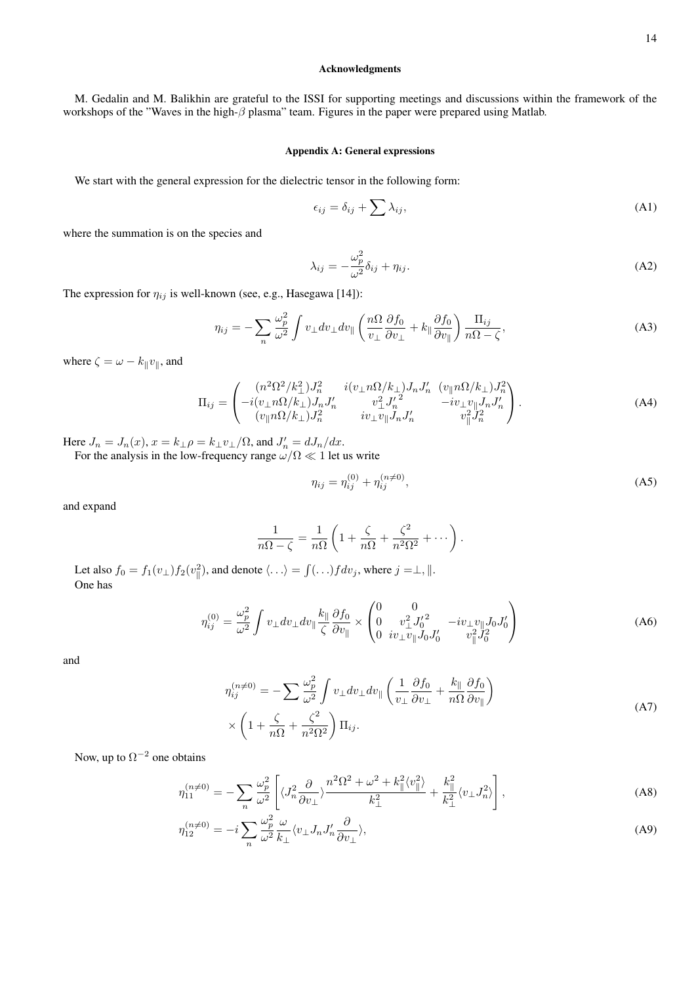# Acknowledgments

M. Gedalin and M. Balikhin are grateful to the ISSI for supporting meetings and discussions within the framework of the workshops of the "Waves in the high-β plasma" team. Figures in the paper were prepared using Matlab.

#### Appendix A: General expressions

We start with the general expression for the dielectric tensor in the following form:

$$
\epsilon_{ij} = \delta_{ij} + \sum \lambda_{ij},\tag{A1}
$$

where the summation is on the species and

$$
\lambda_{ij} = -\frac{\omega_p^2}{\omega^2} \delta_{ij} + \eta_{ij}.
$$
\n(A2)

The expression for  $\eta_{ij}$  is well-known (see, e.g., Hasegawa [14]):

$$
\eta_{ij} = -\sum_{n} \frac{\omega_p^2}{\omega^2} \int v_\perp dv_\perp dv_\parallel \left( \frac{n\Omega}{v_\perp} \frac{\partial f_0}{\partial v_\perp} + k_\parallel \frac{\partial f_0}{\partial v_\parallel} \right) \frac{\Pi_{ij}}{n\Omega - \zeta},\tag{A3}
$$

where  $\zeta = \omega - k_{\parallel} v_{\parallel}$ , and

$$
\Pi_{ij} = \begin{pmatrix}\n(n^2 \Omega^2 / k_\perp^2) J_n^2 & i(v_\perp n \Omega / k_\perp) J_n J_n' & (v_{\parallel} n \Omega / k_\perp) J_n^2 \\
-i(v_\perp n \Omega / k_\perp) J_n J_n' & v_\perp^2 J_n'^2 & -iv_\perp v_{\parallel} J_n J_n' \\
(v_{\parallel} n \Omega / k_\perp) J_n^2 & iv_\perp v_{\parallel} J_n J_n' & v_{\parallel}^2 J_n^2\n\end{pmatrix} .
$$
\n(A4)

Here  $J_n = J_n(x)$ ,  $x = k_{\perp} \rho = k_{\perp} v_{\perp} / \Omega$ , and  $J'_n = dJ_n/dx$ .

For the analysis in the low-frequency range  $\omega/\Omega \ll 1$  let us write

$$
\eta_{ij} = \eta_{ij}^{(0)} + \eta_{ij}^{(n \neq 0)},\tag{A5}
$$

and expand

$$
\frac{1}{n\Omega - \zeta} = \frac{1}{n\Omega} \left( 1 + \frac{\zeta}{n\Omega} + \frac{\zeta^2}{n^2 \Omega^2} + \cdots \right).
$$

Let also  $f_0 = f_1(v_\perp) f_2(v_\parallel^2)$ , and denote  $\langle \ldots \rangle = \int (\ldots) f dv_j$ , where  $j = \perp, \parallel$ . One has

$$
\eta_{ij}^{(0)} = \frac{\omega_p^2}{\omega^2} \int v_\perp dv_\perp dv_\parallel \frac{k_\parallel}{\zeta} \frac{\partial f_0}{\partial v_\parallel} \times \begin{pmatrix} 0 & 0\\ 0 & v_\perp^2 J_0'^2 & -iv_\perp v_\parallel J_0 J_0'\\ 0 & iv_\perp v_\parallel J_0 J_0' & v_\parallel^2 J_0^2 \end{pmatrix}
$$
(A6)

and

$$
\eta_{ij}^{(n\neq 0)} = -\sum \frac{\omega_p^2}{\omega^2} \int v_\perp dv_\perp dv_\parallel \left( \frac{1}{v_\perp} \frac{\partial f_0}{\partial v_\perp} + \frac{k_\parallel}{n\Omega} \frac{\partial f_0}{\partial v_\parallel} \right) \times \left( 1 + \frac{\zeta}{n\Omega} + \frac{\zeta^2}{n^2 \Omega^2} \right) \Pi_{ij}.
$$
\n(A7)

Now, up to  $\Omega^{-2}$  one obtains

$$
\eta_{11}^{(n\neq 0)} = -\sum_{n} \frac{\omega_p^2}{\omega^2} \left[ \langle J_n^2 \frac{\partial}{\partial v_\perp} \rangle \frac{n^2 \Omega^2 + \omega^2 + k_{\parallel}^2 \langle v_{\parallel}^2 \rangle}{k_\perp^2} + \frac{k_{\parallel}^2}{k_\perp^2} \langle v_\perp J_n^2 \rangle \right],\tag{A8}
$$

$$
\eta_{12}^{(n\neq 0)} = -i \sum_{n} \frac{\omega_p^2}{\omega^2} \frac{\omega}{k_{\perp}} \langle v_{\perp} J_n J'_n \frac{\partial}{\partial v_{\perp}} \rangle,
$$
\n(A9)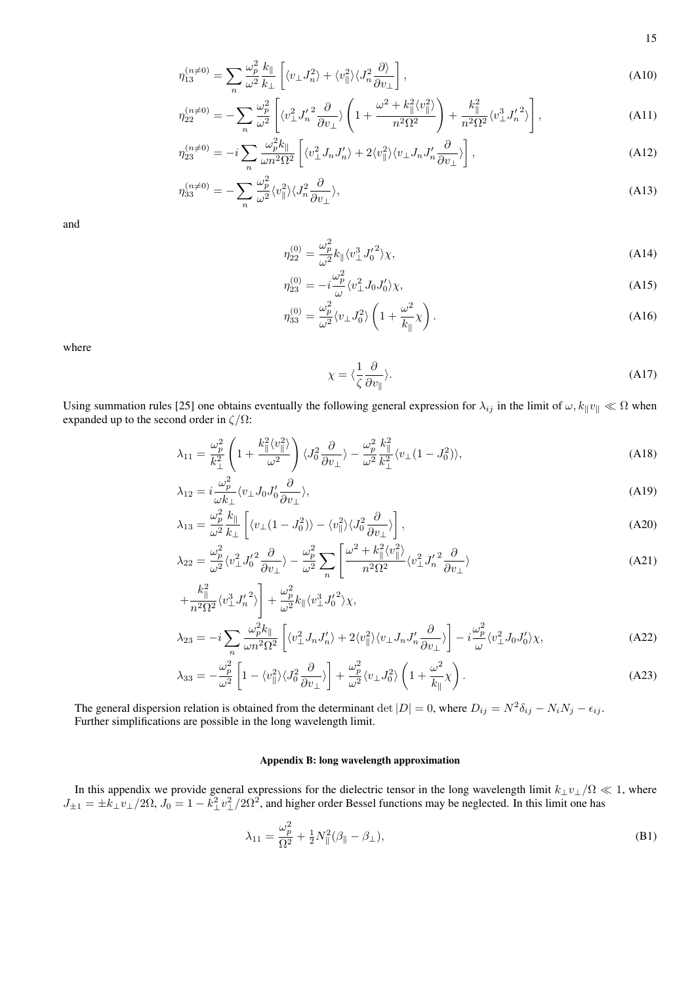$$
\eta_{13}^{(n\neq 0)} = \sum_{n} \frac{\omega_p^2}{\omega^2} \frac{k_{\parallel}}{k_{\perp}} \left[ \langle v_{\perp} J_n^2 \rangle + \langle v_{\parallel}^2 \rangle \langle J_n^2 \frac{\partial \rangle}{\partial v_{\perp}} \right], \tag{A10}
$$

$$
\eta_{22}^{(n\neq 0)} = -\sum_{n} \frac{\omega_p^2}{\omega^2} \left[ \langle v_\perp^2 J_n^{\prime 2} \frac{\partial}{\partial v_\perp} \rangle \left( 1 + \frac{\omega^2 + k_{\parallel}^2 \langle v_\parallel^2 \rangle}{n^2 \Omega^2} \right) + \frac{k_{\parallel}^2}{n^2 \Omega^2} \langle v_\perp^3 J_n^{\prime 2} \rangle \right],\tag{A11}
$$

$$
\eta_{23}^{(n\neq 0)} = -i \sum_{n} \frac{\omega_p^2 k_{\parallel}}{\omega n^2 \Omega^2} \left[ \langle v_{\perp}^2 J_n J_n' \rangle + 2 \langle v_{\parallel}^2 \rangle \langle v_{\perp} J_n J_n' \frac{\partial}{\partial v_{\perp}} \rangle \right], \tag{A12}
$$

$$
\eta_{33}^{(n\neq 0)} = -\sum_{n} \frac{\omega_p^2}{\omega^2} \langle v_{\parallel}^2 \rangle \langle J_n^2 \frac{\partial}{\partial v_{\perp}} \rangle, \tag{A13}
$$

and

$$
\eta_{22}^{(0)} = \frac{\omega_p^2}{\omega^2} k_{\parallel} \langle v_{\perp}^3 J_0^{\prime 2} \rangle \chi,\tag{A14}
$$

$$
\eta_{23}^{(0)} = -i\frac{\omega_p^2}{\omega} \langle v_\perp^2 J_0 J_0' \rangle \chi,\tag{A15}
$$

$$
\eta_{33}^{(0)} = \frac{\omega_p^2}{\omega^2} \langle v_\perp J_0^2 \rangle \left( 1 + \frac{\omega^2}{k_\parallel} \chi \right). \tag{A16}
$$

where

$$
\chi = \langle \frac{1}{\zeta} \frac{\partial}{\partial v_{\parallel}} \rangle. \tag{A17}
$$

Using summation rules [25] one obtains eventually the following general expression for  $\lambda_{ij}$  in the limit of  $\omega$ ,  $k_{\parallel}v_{\parallel} \ll \Omega$  when expanded up to the second order in  $\zeta/\Omega$ :

$$
\lambda_{11} = \frac{\omega_p^2}{k_\perp^2} \left( 1 + \frac{k_\parallel^2 \langle v_\parallel^2 \rangle}{\omega^2} \right) \langle J_0^2 \frac{\partial}{\partial v_\perp} \rangle - \frac{\omega_p^2}{\omega^2} \frac{k_\parallel^2}{k_\perp^2} \langle v_\perp (1 - J_0^2) \rangle, \tag{A18}
$$

$$
\lambda_{12} = i \frac{\omega_p^2}{\omega k_\perp} \langle v_\perp J_0 J_0' \frac{\partial}{\partial v_\perp} \rangle,\tag{A19}
$$

$$
\lambda_{13} = \frac{\omega_p^2}{\omega^2} \frac{k_{\parallel}}{k_{\perp}} \left[ \langle v_{\perp} (1 - J_0^2) \rangle - \langle v_{\parallel}^2 \rangle \langle J_0^2 \frac{\partial}{\partial v_{\perp}} \rangle \right],\tag{A20}
$$

$$
\lambda_{22} = \frac{\omega_p^2}{\omega^2} \langle v_\perp^2 J_0' \frac{\partial}{\partial v_\perp} \rangle - \frac{\omega_p^2}{\omega^2} \sum_n \left[ \frac{\omega^2 + k_{\parallel}^2 \langle v_{\parallel}^2 \rangle}{n^2 \Omega^2} \langle v_\perp^2 J_n' \frac{\partial}{\partial v_\perp} \rangle \right]
$$
(A21)

$$
+\frac{k_{\parallel}^{2}}{n^{2}\Omega^{2}}\langle v_{\perp}^{3}J_{n}'^{2}\rangle + \frac{\omega_{p}^{2}}{\omega^{2}}k_{\parallel}\langle v_{\perp}^{3}J_{0}'^{2}\rangle\chi,
$$
  

$$
\lambda_{23} = -i\sum_{n}\frac{\omega_{p}^{2}k_{\parallel}}{\omega n^{2}\Omega^{2}}\left[\langle v_{\perp}^{2}J_{n}J_{n}'\rangle + 2\langle v_{\parallel}^{2}\rangle\langle v_{\perp}J_{n}J_{n}'\frac{\partial}{\partial v_{\perp}}\rangle\right] - i\frac{\omega_{p}^{2}}{\omega}\langle v_{\perp}^{2}J_{0}J_{0}'\rangle\chi,
$$
(A22)

$$
\lambda_{33} = -\frac{\omega_p^2}{\omega^2} \left[ 1 - \langle v_{\parallel}^2 \rangle \langle J_0^2 \frac{\partial}{\partial v_{\perp}} \rangle \right] + \frac{\omega_p^2}{\omega^2} \langle v_{\perp} J_0^2 \rangle \left( 1 + \frac{\omega^2}{k_{\parallel}} \chi \right). \tag{A23}
$$

The general dispersion relation is obtained from the determinant  $\det|D| = 0$ , where  $D_{ij} = N^2 \delta_{ij} - N_i N_j - \epsilon_{ij}$ . Further simplifications are possible in the long wavelength limit.

# Appendix B: long wavelength approximation

In this appendix we provide general expressions for the dielectric tensor in the long wavelength limit  $k_{\perp}v_{\perp}/\Omega \ll 1$ , where  $J_{\pm 1} = \pm k_{\perp} v_{\perp}/2\Omega$ ,  $J_0 = 1 - k_{\perp}^2 v_{\perp}^2/2\Omega^2$ , and higher order Bessel functions may be neglected. In this limit one has

$$
\lambda_{11} = \frac{\omega_p^2}{\Omega^2} + \frac{1}{2} N_{\parallel}^2 (\beta_{\parallel} - \beta_{\perp}),
$$
\n(B1)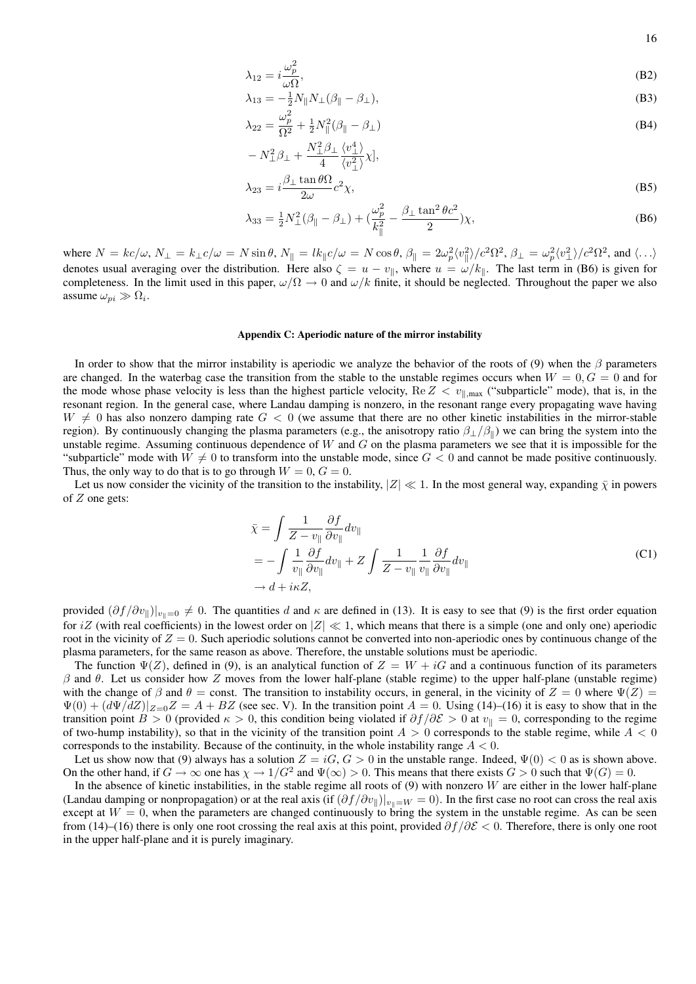$$
\lambda_{12} = i \frac{\omega_p^2}{\omega \Omega},\tag{B2}
$$

$$
\lambda_{13} = -\frac{1}{2} N_{\parallel} N_{\perp} (\beta_{\parallel} - \beta_{\perp}),
$$
\n(B3)

$$
\lambda_{22} = \frac{\omega_p^2}{\Omega^2} + \frac{1}{2} N_{\parallel}^2 (\beta_{\parallel} - \beta_{\perp})
$$
\n
$$
- N^2 \beta_{\perp} + \frac{N_{\perp}^2 \beta_{\perp} \langle v_{\perp}^4 \rangle}{\Omega}
$$
\n(B4)

$$
-N_{\perp}^{2}\beta_{\perp} + \frac{N_{\perp}\beta_{\perp}}{4} \frac{\langle v_{\perp} \rangle}{\langle v_{\perp}^{2} \rangle} \chi,
$$
  

$$
\lambda_{23} = i \frac{\beta_{\perp} \tan \theta \Omega}{2\omega} c^{2} \chi,
$$
 (B5)

$$
\lambda_{33} = \frac{1}{2} N_{\perp}^2 (\beta_{\parallel} - \beta_{\perp}) + (\frac{\omega_p^2}{k_{\parallel}^2} - \frac{\beta_{\perp} \tan^2 \theta c^2}{2}) \chi,
$$
 (B6)

where  $N = kc/\omega$ ,  $N_{\perp} = k_{\perp}c/\omega = N \sin \theta$ ,  $N_{\parallel} = lk_{\parallel}c/\omega = N \cos \theta$ ,  $\beta_{\parallel} = 2\omega_p^2 \langle v_{\parallel}^2 \rangle / c^2 \Omega^2$ ,  $\beta_{\perp} = \omega_p^2 \langle v_{\perp}^2 \rangle / c^2 \Omega^2$ , and  $\langle ... \rangle$ denotes usual averaging over the distribution. Here also  $\zeta = u - v_{\parallel}$ , where  $u = \omega/k_{\parallel}$ . The last term in (B6) is given for completeness. In the limit used in this paper,  $\omega/\Omega \to 0$  and  $\omega/k$  finite, it should be neglected. Throughout the paper we also assume  $\omega_{pi} \gg \Omega_i$ .

#### Appendix C: Aperiodic nature of the mirror instability

In order to show that the mirror instability is aperiodic we analyze the behavior of the roots of (9) when the  $\beta$  parameters are changed. In the waterbag case the transition from the stable to the unstable regimes occurs when  $W = 0, G = 0$  and for the mode whose phase velocity is less than the highest particle velocity,  $Re Z < v_{\parallel, max}$  ("subparticle" mode), that is, in the resonant region. In the general case, where Landau damping is nonzero, in the resonant range every propagating wave having  $W \neq 0$  has also nonzero damping rate  $G < 0$  (we assume that there are no other kinetic instabilities in the mirror-stable region). By continuously changing the plasma parameters (e.g., the anisotropy ratio  $\beta_{\perp}/\beta_{\parallel}$ ) we can bring the system into the unstable regime. Assuming continuous dependence of  $W$  and  $G$  on the plasma parameters we see that it is impossible for the "subparticle" mode with  $W \neq 0$  to transform into the unstable mode, since  $G < 0$  and cannot be made positive continuously. Thus, the only way to do that is to go through  $W = 0$ ,  $G = 0$ .

Let us now consider the vicinity of the transition to the instability,  $|Z| \ll 1$ . In the most general way, expanding  $\bar{\chi}$  in powers of  $Z$  one gets:

$$
\bar{\chi} = \int \frac{1}{Z - v_{\parallel}} \frac{\partial f}{\partial v_{\parallel}} dv_{\parallel}
$$
\n
$$
= -\int \frac{1}{v_{\parallel}} \frac{\partial f}{\partial v_{\parallel}} dv_{\parallel} + Z \int \frac{1}{Z - v_{\parallel}} \frac{1}{v_{\parallel}} \frac{\partial f}{\partial v_{\parallel}} dv_{\parallel}
$$
\n
$$
\to d + i\kappa Z,
$$
\n(C1)

provided  $(\partial f/\partial v_{\parallel})|_{v_{\parallel}=0} \neq 0$ . The quantities d and  $\kappa$  are defined in (13). It is easy to see that (9) is the first order equation for iZ (with real coefficients) in the lowest order on  $|Z| \ll 1$ , which means that there is a simple (one and only one) aperiodic root in the vicinity of  $Z = 0$ . Such aperiodic solutions cannot be converted into non-aperiodic ones by continuous change of the plasma parameters, for the same reason as above. Therefore, the unstable solutions must be aperiodic.

The function  $\Psi(Z)$ , defined in (9), is an analytical function of  $Z = W + iG$  and a continuous function of its parameters β and θ. Let us consider how Z moves from the lower half-plane (stable regime) to the upper half-plane (unstable regime) with the change of  $\beta$  and  $\theta$  = const. The transition to instability occurs, in general, in the vicinity of  $Z = 0$  where  $\Psi(Z)$  =  $\Psi(0) + (d\Psi/dZ)|_{Z=0}Z = A + BZ$  (see sec. V). In the transition point  $A = 0$ . Using (14)–(16) it is easy to show that in the transition point B > 0 (provided  $\kappa$  > 0, this condition being violated if  $\partial f/\partial \mathcal{E}$  > 0 at  $v_{\parallel} = 0$ , corresponding to the regime of two-hump instability), so that in the vicinity of the transition point  $A > 0$  corresponds to the stable regime, while  $A < 0$ corresponds to the instability. Because of the continuity, in the whole instability range  $A < 0$ .

Let us show now that (9) always has a solution  $Z = iG, G > 0$  in the unstable range. Indeed,  $\Psi(0) < 0$  as is shown above. On the other hand, if  $G \to \infty$  one has  $\chi \to 1/G^2$  and  $\Psi(\infty) > 0$ . This means that there exists  $G > 0$  such that  $\Psi(G) = 0$ .

In the absence of kinetic instabilities, in the stable regime all roots of  $(9)$  with nonzero W are either in the lower half-plane (Landau damping or nonpropagation) or at the real axis (if  $(\partial f/\partial v_{\parallel})|_{v=\parallel W} = 0$ ). In the first case no root can cross the real axis except at  $W = 0$ , when the parameters are changed continuously to bring the system in the unstable regime. As can be seen from (14)–(16) there is only one root crossing the real axis at this point, provided  $\partial f/\partial \mathcal{E} < 0$ . Therefore, there is only one root in the upper half-plane and it is purely imaginary.